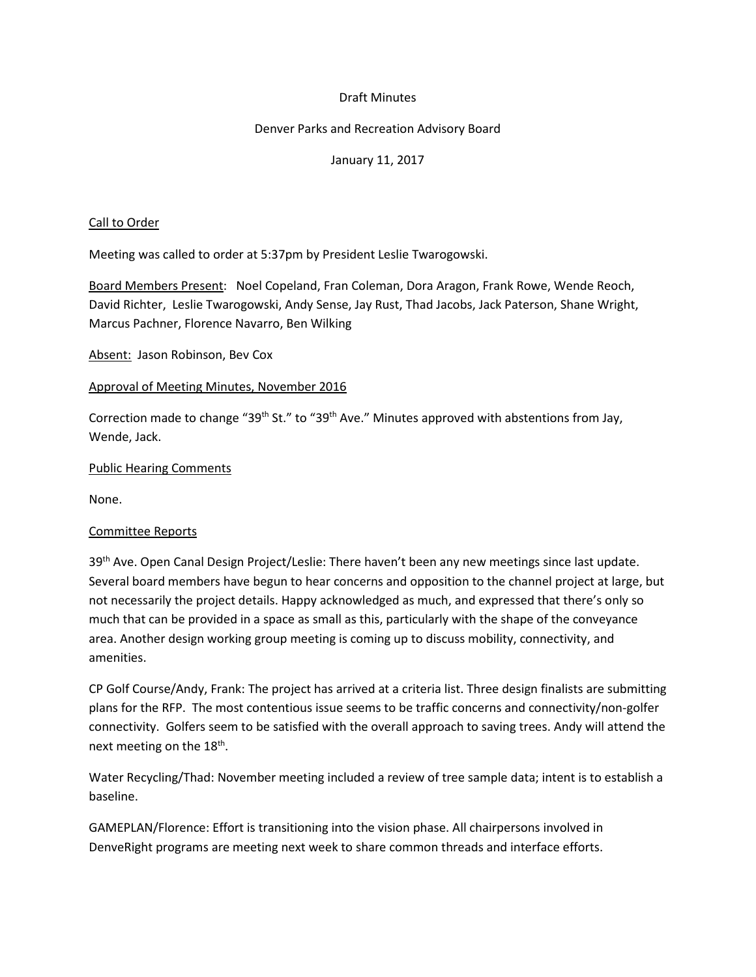### Draft Minutes

## Denver Parks and Recreation Advisory Board

## January 11, 2017

#### Call to Order

Meeting was called to order at 5:37pm by President Leslie Twarogowski.

Board Members Present: Noel Copeland, Fran Coleman, Dora Aragon, Frank Rowe, Wende Reoch, David Richter, Leslie Twarogowski, Andy Sense, Jay Rust, Thad Jacobs, Jack Paterson, Shane Wright, Marcus Pachner, Florence Navarro, Ben Wilking

Absent: Jason Robinson, Bev Cox

#### Approval of Meeting Minutes, November 2016

Correction made to change "39<sup>th</sup> St." to "39<sup>th</sup> Ave." Minutes approved with abstentions from Jay, Wende, Jack.

#### Public Hearing Comments

None.

# Committee Reports

39<sup>th</sup> Ave. Open Canal Design Project/Leslie: There haven't been any new meetings since last update. Several board members have begun to hear concerns and opposition to the channel project at large, but not necessarily the project details. Happy acknowledged as much, and expressed that there's only so much that can be provided in a space as small as this, particularly with the shape of the conveyance area. Another design working group meeting is coming up to discuss mobility, connectivity, and amenities.

CP Golf Course/Andy, Frank: The project has arrived at a criteria list. Three design finalists are submitting plans for the RFP. The most contentious issue seems to be traffic concerns and connectivity/non-golfer connectivity. Golfers seem to be satisfied with the overall approach to saving trees. Andy will attend the next meeting on the 18<sup>th</sup>.

Water Recycling/Thad: November meeting included a review of tree sample data; intent is to establish a baseline.

GAMEPLAN/Florence: Effort is transitioning into the vision phase. All chairpersons involved in DenveRight programs are meeting next week to share common threads and interface efforts.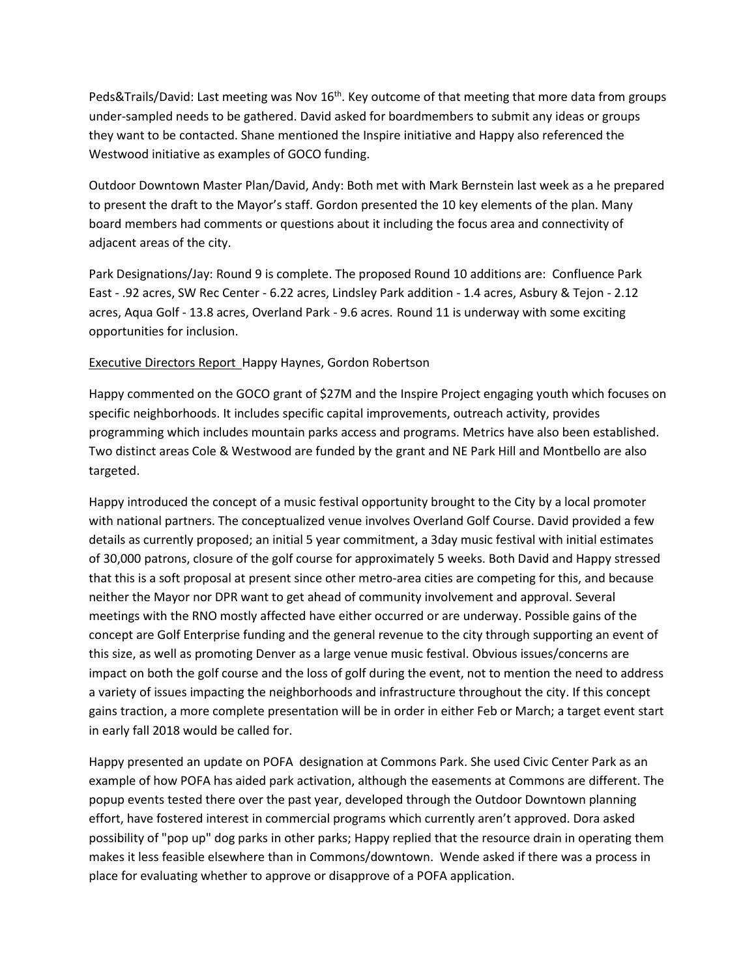Peds&Trails/David: Last meeting was Nov 16<sup>th</sup>. Key outcome of that meeting that more data from groups under-sampled needs to be gathered. David asked for boardmembers to submit any ideas or groups they want to be contacted. Shane mentioned the Inspire initiative and Happy also referenced the Westwood initiative as examples of GOCO funding.

Outdoor Downtown Master Plan/David, Andy: Both met with Mark Bernstein last week as a he prepared to present the draft to the Mayor's staff. Gordon presented the 10 key elements of the plan. Many board members had comments or questions about it including the focus area and connectivity of adjacent areas of the city.

Park Designations/Jay: Round 9 is complete. The proposed Round 10 additions are: Confluence Park East - .92 acres, SW Rec Center - 6.22 acres, Lindsley Park addition - 1.4 acres, Asbury & Tejon - 2.12 acres, Aqua Golf - 13.8 acres, Overland Park - 9.6 acres. Round 11 is underway with some exciting opportunities for inclusion.

# Executive Directors Report Happy Haynes, Gordon Robertson

Happy commented on the GOCO grant of \$27M and the Inspire Project engaging youth which focuses on specific neighborhoods. It includes specific capital improvements, outreach activity, provides programming which includes mountain parks access and programs. Metrics have also been established. Two distinct areas Cole & Westwood are funded by the grant and NE Park Hill and Montbello are also targeted.

Happy introduced the concept of a music festival opportunity brought to the City by a local promoter with national partners. The conceptualized venue involves Overland Golf Course. David provided a few details as currently proposed; an initial 5 year commitment, a 3day music festival with initial estimates of 30,000 patrons, closure of the golf course for approximately 5 weeks. Both David and Happy stressed that this is a soft proposal at present since other metro-area cities are competing for this, and because neither the Mayor nor DPR want to get ahead of community involvement and approval. Several meetings with the RNO mostly affected have either occurred or are underway. Possible gains of the concept are Golf Enterprise funding and the general revenue to the city through supporting an event of this size, as well as promoting Denver as a large venue music festival. Obvious issues/concerns are impact on both the golf course and the loss of golf during the event, not to mention the need to address a variety of issues impacting the neighborhoods and infrastructure throughout the city. If this concept gains traction, a more complete presentation will be in order in either Feb or March; a target event start in early fall 2018 would be called for.

Happy presented an update on POFA designation at Commons Park. She used Civic Center Park as an example of how POFA has aided park activation, although the easements at Commons are different. The popup events tested there over the past year, developed through the Outdoor Downtown planning effort, have fostered interest in commercial programs which currently aren't approved. Dora asked possibility of "pop up" dog parks in other parks; Happy replied that the resource drain in operating them makes it less feasible elsewhere than in Commons/downtown. Wende asked if there was a process in place for evaluating whether to approve or disapprove of a POFA application.